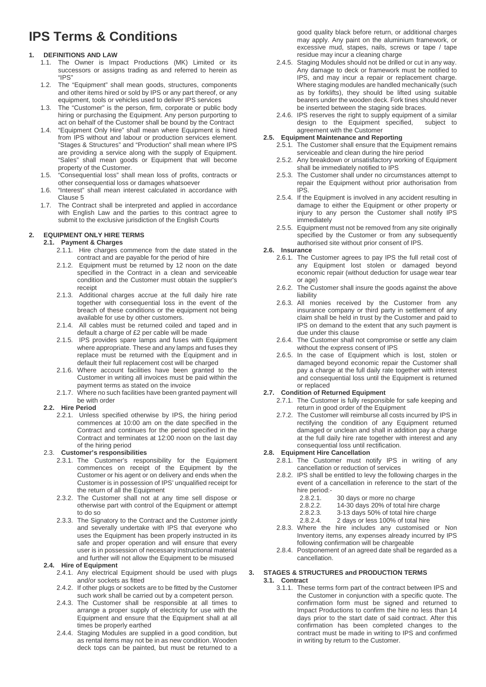# **IPS Terms & Conditions**

# **1. DEFINITIONS AND LAW**

- 1.1. The Owner is Impact Productions (MK) Limited or its successors or assigns trading as and referred to herein as "IPS"
- 1.2. The "Equipment" shall mean goods, structures, components and other items hired or sold by IPS or any part thereof, or any equipment, tools or vehicles used to deliver IPS services
- 1.3. The "Customer" is the person, firm, corporate or public body hiring or purchasing the Equipment. Any person purporting to act on behalf of the Customer shall be bound by the Contract
- 1.4. "Equipment Only Hire" shall mean where Equipment is hired from IPS without and labour or production services element. "Stages & Structures" and "Production" shall mean where IPS are providing a service along with the supply of Equipment. "Sales" shall mean goods or Equipment that will become property of the Customer.
- 1.5. "Consequential loss" shall mean loss of profits, contracts or other consequential loss or damages whatsoever
- 1.6. "Interest" shall mean interest calculated in accordance with Clause 5
- 1.7. The Contract shall be interpreted and applied in accordance with English Law and the parties to this contract agree to submit to the exclusive jurisdiction of the English Courts

# **2. EQUIPMENT ONLY HIRE TERMS**

# **2.1. Payment & Charges**

- 2.1.1. Hire charges commence from the date stated in the contract and are payable for the period of hire
- 2.1.2. Equipment must be returned by 12 noon on the date specified in the Contract in a clean and serviceable condition and the Customer must obtain the supplier's receipt
- 2.1.3. Additional charges accrue at the full daily hire rate together with consequential loss in the event of the breach of these conditions or the equipment not being available for use by other customers.
- 2.1.4. All cables must be returned coiled and taped and in default a charge of £2 per cable will be made
- 2.1.5. IPS provides spare lamps and fuses with Equipment where appropriate. These and any lamps and fuses they replace must be returned with the Equipment and in default their full replacement cost will be charged
- 2.1.6. Where account facilities have been granted to the Customer in writing all invoices must be paid within the payment terms as stated on the invoice
- 2.1.7. Where no such facilities have been granted payment will be with order

# **2.2. Hire Period**

2.2.1. Unless specified otherwise by IPS, the hiring period commences at 10:00 am on the date specified in the Contract and continues for the period specified in the Contract and terminates at 12:00 noon on the last day of the hiring period

# 2.3. **Customer's responsibilities**

- 2.3.1. The Customer's responsibility for the Equipment commences on receipt of the Equipment by the Customer or his agent or on delivery and ends when the Customer is in possession of IPS' unqualified receipt for the return of all the Equipment
- 2.3.2. The Customer shall not at any time sell dispose or otherwise part with control of the Equipment or attempt to do so
- 2.3.3. The Signatory to the Contract and the Customer jointly and severally undertake with IPS that everyone who uses the Equipment has been properly instructed in its safe and proper operation and will ensure that every user is in possession of necessary instructional material and further will not allow the Equipment to be misused

# **2.4. Hire of Equipment**

- 2.4.1. Any electrical Equipment should be used with plugs and/or sockets as fitted
- 2.4.2. If other plugs or sockets are to be fitted by the Customer such work shall be carried out by a competent person.
- 2.4.3. The Customer shall be responsible at all times to arrange a proper supply of electricity for use with the Equipment and ensure that the Equipment shall at all times be properly earthed
- 2.4.4. Staging Modules are supplied in a good condition, but as rental items may not be in as new condition. Wooden deck tops can be painted, but must be returned to a

good quality black before return, or additional charges may apply. Any paint on the aluminium framework, or excessive mud, stapes, nails, screws or tape / tape residue may incur a cleaning charge

- 2.4.5. Staging Modules should not be drilled or cut in any way. Any damage to deck or framework must be notified to IPS, and may incur a repair or replacement charge. Where staging modules are handled mechanically (such as by forklifts), they should be lifted using suitable bearers under the wooden deck. Fork tines should never be inserted between the staging side braces.
- 2.4.6. IPS reserves the right to supply equipment of a similar design to the Equipment specified, subject to agreement with the Customer

## **2.5. Equipment Maintenance and Reporting**

- 2.5.1. The Customer shall ensure that the Equipment remains serviceable and clean during the hire period
	- 2.5.2. Any breakdown or unsatisfactory working of Equipment shall be immediately notified to IPS
	- 2.5.3. The Customer shall under no circumstances attempt to repair the Equipment without prior authorisation from IPS.
	- 2.5.4. If the Equipment is involved in any accident resulting in damage to either the Equipment or other property or injury to any person the Customer shall notify IPS immediately
	- 2.5.5. Equipment must not be removed from any site originally specified by the Customer or from any subsequently authorised site without prior consent of IPS.

# **2.6. Insurance**

- 2.6.1. The Customer agrees to pay IPS the full retail cost of any Equipment lost stolen or damaged beyond economic repair (without deduction for usage wear tear or age)
- 2.6.2. The Customer shall insure the goods against the above liability
- 2.6.3. All monies received by the Customer from any insurance company or third party in settlement of any claim shall be held in trust by the Customer and paid to IPS on demand to the extent that any such payment is due under this clause
- 2.6.4. The Customer shall not compromise or settle any claim without the express consent of IPS
- 2.6.5. In the case of Equipment which is lost, stolen or damaged beyond economic repair the Customer shall pay a charge at the full daily rate together with interest and consequential loss until the Equipment is returned or replaced

# **2.7. Condition of Returned Equipment**

- 2.7.1. The Customer is fully responsible for safe keeping and return in good order of the Equipment
- 2.7.2. The Customer will reimburse all costs incurred by IPS in rectifying the condition of any Equipment returned damaged or unclean and shall in addition pay a charge at the full daily hire rate together with interest and any consequential loss until rectification.

#### **2.8. Equipment Hire Cancellation**

- 2.8.1. The Customer must notify IPS in writing of any cancellation or reduction of services
- 2.8.2. IPS shall be entitled to levy the following charges in the event of a cancellation in reference to the start of the hire period:<br>2.8.2.1.
	- 2.8.2.1. 30 days or more no charge<br>2.8.2.2. 14-30 days 20% of total hire
	- 2.8.2.2. 14-30 days 20% of total hire charge<br>2.8.2.3. 3-13 days 50% of total hire charge
	- 2.8.2.3. 3-13 days 50% of total hire charge<br>2.8.2.4. 2 days or less 100% of total hire
	- 2 days or less 100% of total hire
- 2.8.3. Where the hire includes any customised or Non Inventory items, any expenses already incurred by IPS following confirmation will be chargeable
- 2.8.4. Postponement of an agreed date shall be regarded as a cancellation.

# **3. STAGES & STRUCTURES and PRODUCTION TERMS**

# **3.1. Contract**

3.1.1. These terms form part of the contract between IPS and the Customer in conjunction with a specific quote. The confirmation form must be signed and returned to Impact Productions to confirm the hire no less than 14 days prior to the start date of said contract. After this confirmation has been completed changes to the contract must be made in writing to IPS and confirmed in writing by return to the Customer.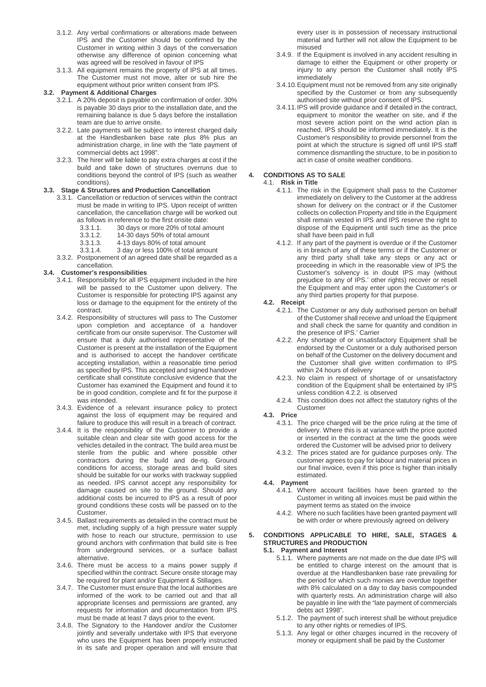- 3.1.2. Any verbal confirmations or alterations made between IPS and the Customer should be confirmed by the Customer in writing within 3 days of the conversation otherwise any difference of opinion concerning what was agreed will be resolved in favour of IPS
- 3.1.3. All equipment remains the property of IPS at all times. The Customer must not move, alter or sub hire the equipment without prior written consent from IPS.

#### **3.2. Payment & Additional Charges**

- 3.2.1. A 20% deposit is payable on confirmation of order. 30% is payable 30 days prior to the installation date, and the remaining balance is due 5 days before the installation team are due to arrive onsite.
- 3.2.2. Late payments will be subject to interest charged daily at the Handlesbanken base rate plus 8% plus an administration charge, in line with the "late payment of commercial debts act 1998".
- 3.2.3. The hirer will be liable to pay extra charges at cost if the build and take down of structures overruns due to conditions beyond the control of IPS (such as weather conditions).

#### **3.3. Stage & Structures and Production Cancellation**

- 3.3.1. Cancellation or reduction of services within the contract must be made in writing to IPS. Upon receipt of written cancellation, the cancellation charge will be worked out as follows in reference to the first onsite date:
	-
	- 3.3.1.1. 30 days or more 20% of total amount 14-30 days 50% of total amount
	-
	- 3.3.1.3. 4-13 days 80% of total amount 3.3.1.4. 3 day or less 100% of total amount
- 3.3.2. Postponement of an agreed date shall be regarded as a cancellation.

#### **3.4. Customer's responsibilities**

- 3.4.1. Responsibility for all IPS equipment included in the hire will be passed to the Customer upon delivery. The Customer is responsible for protecting IPS against any loss or damage to the equipment for the entirety of the contract.
- 3.4.2. Responsibility of structures will pass to The Customer upon completion and acceptance of a handover certificate from our onsite supervisor. The Customer will ensure that a duly authorised representative of the Customer is present at the installation of the Equipment and is authorised to accept the handover certificate accepting installation, within a reasonable time period as specified by IPS. This accepted and signed handover certificate shall constitute conclusive evidence that the Customer has examined the Equipment and found it to be in good condition, complete and fit for the purpose it was intended.
- 3.4.3. Evidence of a relevant insurance policy to protect against the loss of equipment may be required and failure to produce this will result in a breach of contract.
- 3.4.4. It is the responsibility of the Customer to provide a suitable clean and clear site with good access for the vehicles detailed in the contract. The build area must be sterile from the public and where possible other contractors during the build and de-rig. Ground conditions for access, storage areas and build sites should be suitable for our works with trackway supplied as needed. IPS cannot accept any responsibility for damage caused on site to the ground. Should any additional costs be incurred to IPS as a result of poor ground conditions these costs will be passed on to the Customer.
- 3.4.5. Ballast requirements as detailed in the contract must be met, including supply of a high pressure water supply with hose to reach our structure, permission to use ground anchors with confirmation that build site is free from underground services, or a surface ballast alternative.
- 3.4.6. There must be access to a mains power supply if specified within the contract. Secure onsite storage may be required for plant and/or Equipment & Stillages.
- 3.4.7. The Customer must ensure that the local authorities are informed of the work to be carried out and that all appropriate licenses and permissions are granted, any requests for information and documentation from IPS must be made at least 7 days prior to the event.
- 3.4.8. The Signatory to the Handover and/or the Customer jointly and severally undertake with IPS that everyone who uses the Equipment has been properly instructed in its safe and proper operation and will ensure that

every user is in possession of necessary instructional material and further will not allow the Equipment to be misused

- 3.4.9. If the Equipment is involved in any accident resulting in damage to either the Equipment or other property or injury to any person the Customer shall notify IPS immediately
- 3.4.10.Equipment must not be removed from any site originally specified by the Customer or from any subsequently authorised site without prior consent of IPS.
- 3.4.11.IPS will provide guidance and if detailed in the contract, equipment to monitor the weather on site, and if the most severe action point on the wind action plan is reached, IPS should be informed immediately. It is the Customer's responsibility to provide personnel from the point at which the structure is signed off until IPS staff commence dismantling the structure, to be in position to act in case of onsite weather conditions.

# **4. CONDITIONS AS TO SALE**

- 4.1. **Risk in Title**
	- 4.1.1. The risk in the Equipment shall pass to the Customer immediately on delivery to the Customer at the address shown for delivery on the contract or if the Customer collects on collection Property and title in the Equipment shall remain vested in IPS and IPS reserve the right to dispose of the Equipment until such time as the price shall have been paid in full
	- 4.1.2. If any part of the payment is overdue or if the Customer is in breach of any of these terms or if the Customer or any third party shall take any steps or any act or proceeding in which in the reasonable view of IPS the Customer's solvency is in doubt IPS may (without prejudice to any of IPS.' other rights) recover or resell the Equipment and may enter upon the Customer's or any third parties property for that purpose.

#### **4.2. Receipt**

- 4.2.1. The Customer or any duly authorised person on behalf of the Customer shall receive and unload the Equipment and shall check the same for quantity and condition in the presence of IPS.' Carrier
- 4.2.2. Any shortage of or unsatisfactory Equipment shall be endorsed by the Customer or a duly authorised person on behalf of the Customer on the delivery document and the Customer shall give written confirmation to IPS within 24 hours of delivery
- 4.2.3. No claim in respect of shortage of or unsatisfactory condition of the Equipment shall be entertained by IPS unless condition 4.2.2. is observed
- 4.2.4. This condition does not affect the statutory rights of the Customer
- **4.3. Price**
	- 4.3.1. The price charged will be the price ruling at the time of delivery. Where this is at variance with the price quoted or inserted in the contract at the time the goods were ordered the Customer will be advised prior to delivery
	- 4.3.2. The prices stated are for guidance purposes only. The customer agrees to pay for labour and material prices in our final invoice, even if this price is higher than initially estimated.

# **4.4. Payment**

- 4.4.1. Where account facilities have been granted to the Customer in writing all invoices must be paid within the payment terms as stated on the invoice
- 4.4.2. Where no such facilities have been granted payment will be with order or where previously agreed on delivery

#### **5. CONDITIONS APPLICABLE TO HIRE, SALE, STAGES & STRUCTURES and PRODUCTION 5.1. Payment and Interest**

- 5.1.1. Where payments are not made on the due date IPS will be entitled to charge interest on the amount that is overdue at the Handlesbanken base rate prevailing for the period for which such monies are overdue together with 8% calculated on a day to day basis compounded with quarterly rests. An administration charge will also be payable in line with the "late payment of commercials debts act 1998".
- 5.1.2. The payment of such interest shall be without prejudice to any other rights or remedies of IPS.
- 5.1.3. Any legal or other charges incurred in the recovery of money or equipment shall be paid by the Customer